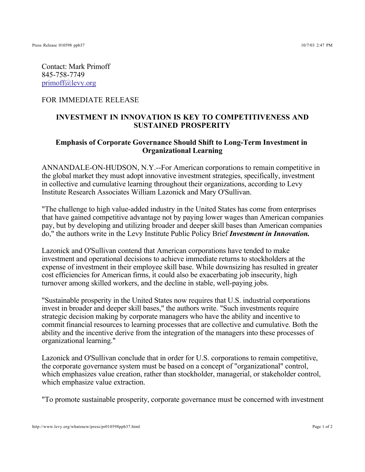Contact: Mark Primoff 845-758-7749 primoff@levy.org

## FOR IMMEDIATE RELEASE

## **INVESTMENT IN INNOVATION IS KEY TO COMPETITIVENESS AND SUSTAINED PROSPERITY**

## **Emphasis of Corporate Governance Should Shift to Long-Term Investment in Organizational Learning**

ANNANDALE-ON-HUDSON, N.Y.--For American corporations to remain competitive in the global market they must adopt innovative investment strategies, specifically, investment in collective and cumulative learning throughout their organizations, according to Levy Institute Research Associates William Lazonick and Mary O'Sullivan.

"The challenge to high value-added industry in the United States has come from enterprises that have gained competitive advantage not by paying lower wages than American companies pay, but by developing and utilizing broader and deeper skill bases than American companies do," the authors write in the Levy Institute Public Policy Brief *Investment in Innovation.*

Lazonick and O'Sullivan contend that American corporations have tended to make investment and operational decisions to achieve immediate returns to stockholders at the expense of investment in their employee skill base. While downsizing has resulted in greater cost efficiencies for American firms, it could also be exacerbating job insecurity, high turnover among skilled workers, and the decline in stable, well-paying jobs.

"Sustainable prosperity in the United States now requires that U.S. industrial corporations invest in broader and deeper skill bases," the authors write. "Such investments require strategic decision making by corporate managers who have the ability and incentive to commit financial resources to learning processes that are collective and cumulative. Both the ability and the incentive derive from the integration of the managers into these processes of organizational learning."

Lazonick and O'Sullivan conclude that in order for U.S. corporations to remain competitive, the corporate governance system must be based on a concept of "organizational" control, which emphasizes value creation, rather than stockholder, managerial, or stakeholder control, which emphasize value extraction.

"To promote sustainable prosperity, corporate governance must be concerned with investment